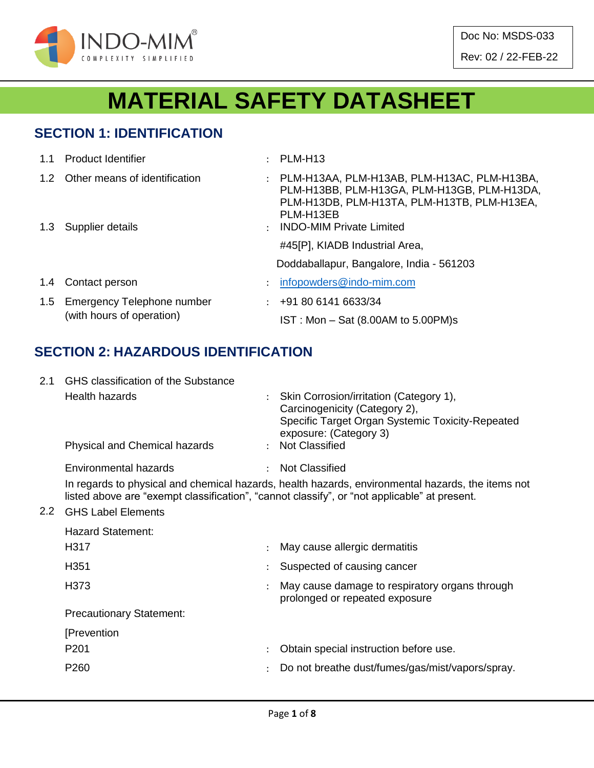

Doc No: MSDS-033 Rev: 02 / 22-FEB-22

# **MATERIAL SAFETY DATASHEET**

#### **SECTION 1: IDENTIFICATION**

|               | 1.1 Product Identifier                                      | PLM-H13                                                                                                                                                                                   |
|---------------|-------------------------------------------------------------|-------------------------------------------------------------------------------------------------------------------------------------------------------------------------------------------|
|               | 1.2 Other means of identification<br>1.3 Supplier details   | PLM-H13AA, PLM-H13AB, PLM-H13AC, PLM-H13BA,<br>PLM-H13BB, PLM-H13GA, PLM-H13GB, PLM-H13DA,<br>PLM-H13DB, PLM-H13TA, PLM-H13TB, PLM-H13EA,<br>PLM-H13EB<br><b>INDO-MIM Private Limited</b> |
|               |                                                             | #45[P], KIADB Industrial Area,<br>Doddaballapur, Bangalore, India - 561203                                                                                                                |
| $1.4^{\circ}$ | Contact person                                              | infopowders@indo-mim.com                                                                                                                                                                  |
|               | 1.5 Emergency Telephone number<br>(with hours of operation) | $\div$ +91 80 6141 6633/34<br>$IST: Mon - Sat (8.00AM to 5.00PM)s$                                                                                                                        |

### **SECTION 2: HAZARDOUS IDENTIFICATION**

| 2.1 | GHS classification of the Substance                                                                                                                                                               |  |                                                                                                                                                          |  |  |  |  |  |
|-----|---------------------------------------------------------------------------------------------------------------------------------------------------------------------------------------------------|--|----------------------------------------------------------------------------------------------------------------------------------------------------------|--|--|--|--|--|
|     | Health hazards                                                                                                                                                                                    |  | : Skin Corrosion/irritation (Category 1),<br>Carcinogenicity (Category 2),<br>Specific Target Organ Systemic Toxicity-Repeated<br>exposure: (Category 3) |  |  |  |  |  |
|     | <b>Physical and Chemical hazards</b>                                                                                                                                                              |  | : Not Classified                                                                                                                                         |  |  |  |  |  |
|     | Environmental hazards                                                                                                                                                                             |  | <b>Not Classified</b>                                                                                                                                    |  |  |  |  |  |
|     | In regards to physical and chemical hazards, health hazards, environmental hazards, the items not<br>listed above are "exempt classification", "cannot classify", or "not applicable" at present. |  |                                                                                                                                                          |  |  |  |  |  |

#### 2.2 GHS Label Elements

| <b>Hazard Statement:</b>        |               |                                                                                  |
|---------------------------------|---------------|----------------------------------------------------------------------------------|
| H317                            |               | May cause allergic dermatitis                                                    |
| H <sub>351</sub>                |               | Suspected of causing cancer                                                      |
| H373                            |               | May cause damage to respiratory organs through<br>prolonged or repeated exposure |
| <b>Precautionary Statement:</b> |               |                                                                                  |
| [Prevention                     |               |                                                                                  |
| P <sub>201</sub>                |               | Obtain special instruction before use.                                           |
| P <sub>260</sub>                | $\mathcal{L}$ | Do not breathe dust/fumes/gas/mist/vapors/spray.                                 |
|                                 |               |                                                                                  |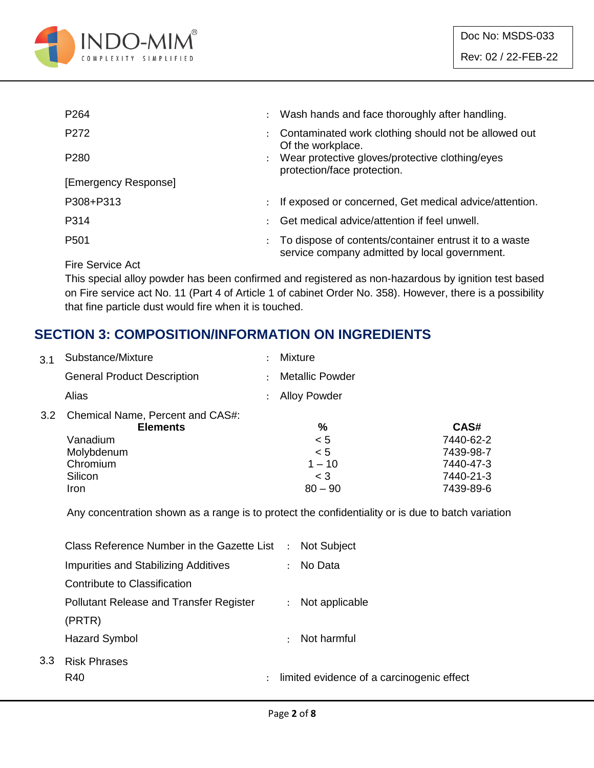

| P <sub>264</sub>     | $\ddot{\phantom{0}}$ | Wash hands and face thoroughly after handling.                                                          |
|----------------------|----------------------|---------------------------------------------------------------------------------------------------------|
| P272                 |                      | Contaminated work clothing should not be allowed out<br>Of the workplace.                               |
| P <sub>280</sub>     |                      | Wear protective gloves/protective clothing/eyes<br>protection/face protection.                          |
| [Emergency Response] |                      |                                                                                                         |
| P308+P313            |                      | If exposed or concerned, Get medical advice/attention.                                                  |
| P314                 |                      | Get medical advice/attention if feel unwell.                                                            |
| P <sub>501</sub>     |                      | To dispose of contents/container entrust it to a waste<br>service company admitted by local government. |

Fire Service Act

 $3.3$ 

This special alloy powder has been confirmed and registered as non-hazardous by ignition test based on Fire service act No. 11 (Part 4 of Article 1 of cabinet Order No. 358). However, there is a possibility that fine particle dust would fire when it is touched.

#### **SECTION 3: COMPOSITION/INFORMATION ON INGREDIENTS**

| 3.1 | Substance/Mixture                                                                                 |                      | Mixture             |           |
|-----|---------------------------------------------------------------------------------------------------|----------------------|---------------------|-----------|
|     | <b>General Product Description</b>                                                                | $\ddot{\phantom{a}}$ | Metallic Powder     |           |
|     | Alias                                                                                             |                      | <b>Alloy Powder</b> |           |
| 3.2 | Chemical Name, Percent and CAS#:<br><b>Elements</b>                                               |                      | %                   | CAS#      |
|     | Vanadium                                                                                          |                      | < 5                 | 7440-62-2 |
|     | Molybdenum                                                                                        |                      | < 5                 | 7439-98-7 |
|     | Chromium                                                                                          |                      | $1 - 10$            | 7440-47-3 |
|     | Silicon                                                                                           |                      | $<$ 3               | 7440-21-3 |
|     | <b>Iron</b>                                                                                       |                      | $80 - 90$           | 7439-89-6 |
|     | Any concentration shown as a range is to protect the confidentiality or is due to batch variation |                      |                     |           |

Any concentration shown as a range is to protect the confidentiality or is due to batch variation

| Class Reference Number in the Gazette List :   | <b>Not Subject</b>                                                |
|------------------------------------------------|-------------------------------------------------------------------|
| Impurities and Stabilizing Additives           | No Data<br>$\mathcal{L}$                                          |
| Contribute to Classification                   |                                                                   |
| <b>Pollutant Release and Transfer Register</b> | Not applicable<br>$\mathcal{L}$                                   |
| (PRTR)                                         |                                                                   |
| Hazard Symbol                                  | Not harmful                                                       |
| <b>Risk Phrases</b>                            |                                                                   |
| R40                                            | limited evidence of a carcinogenic effect<br>$\ddot{\phantom{0}}$ |
|                                                |                                                                   |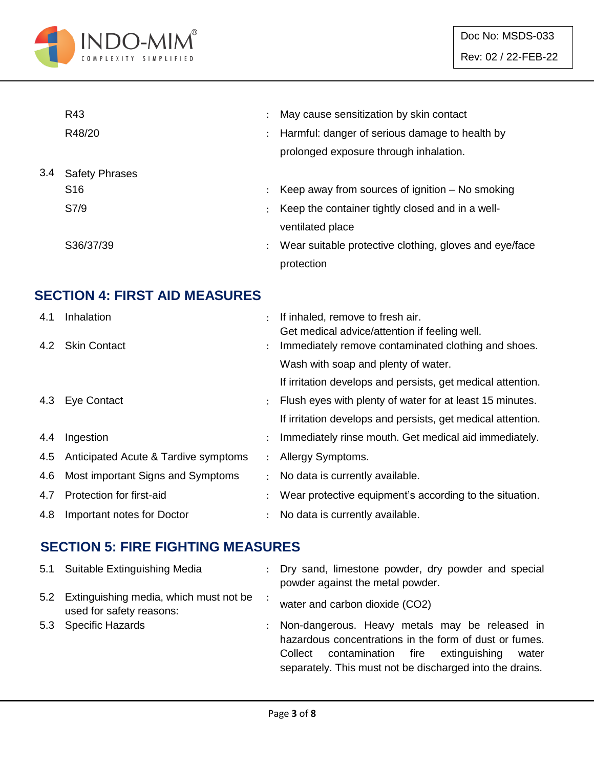

|     | R43                   |                      | May cause sensitization by skin contact                |
|-----|-----------------------|----------------------|--------------------------------------------------------|
|     | R48/20                | $\ddot{\phantom{0}}$ | Harmful: danger of serious damage to health by         |
|     |                       |                      | prolonged exposure through inhalation.                 |
| 3.4 | <b>Safety Phrases</b> |                      |                                                        |
|     | S <sub>16</sub>       | ÷                    | Keep away from sources of ignition $-$ No smoking      |
|     | S7/9                  |                      | Keep the container tightly closed and in a well-       |
|     |                       |                      | ventilated place                                       |
|     | S36/37/39             | $\ddot{\phantom{a}}$ | Wear suitable protective clothing, gloves and eye/face |
|     |                       |                      | protection                                             |

### **SECTION 4: FIRST AID MEASURES**

| 4.1 | Inhalation                               |                      | If inhaled, remove to fresh air.                                                                     |
|-----|------------------------------------------|----------------------|------------------------------------------------------------------------------------------------------|
|     | 4.2 Skin Contact                         | $\ddot{\phantom{0}}$ | Get medical advice/attention if feeling well.<br>Immediately remove contaminated clothing and shoes. |
|     |                                          |                      | Wash with soap and plenty of water.                                                                  |
|     |                                          |                      | If irritation develops and persists, get medical attention.                                          |
|     | 4.3 Eye Contact                          |                      | Flush eyes with plenty of water for at least 15 minutes.                                             |
|     |                                          |                      | If irritation develops and persists, get medical attention.                                          |
| 4.4 | Ingestion                                |                      | Immediately rinse mouth. Get medical aid immediately.                                                |
|     | 4.5 Anticipated Acute & Tardive symptoms | $\ddot{\phantom{0}}$ | Allergy Symptoms.                                                                                    |
| 4.6 | Most important Signs and Symptoms        |                      | No data is currently available.                                                                      |
| 4.7 | Protection for first-aid                 |                      | Wear protective equipment's according to the situation.                                              |
| 4.8 | Important notes for Doctor               |                      | No data is currently available.                                                                      |

#### **SECTION 5: FIRE FIGHTING MEASURES**

| 5.1 Suitable Extinguishing Media                                       | : Dry sand, limestone powder, dry powder and special<br>powder against the metal powder.                                                                                                                                          |
|------------------------------------------------------------------------|-----------------------------------------------------------------------------------------------------------------------------------------------------------------------------------------------------------------------------------|
| 5.2 Extinguishing media, which must not be<br>used for safety reasons: | water and carbon dioxide (CO2)                                                                                                                                                                                                    |
| 5.3 Specific Hazards                                                   | : Non-dangerous. Heavy metals may be released in<br>hazardous concentrations in the form of dust or fumes.<br>contamination fire<br>extinguishing<br>Collect<br>water<br>separately. This must not be discharged into the drains. |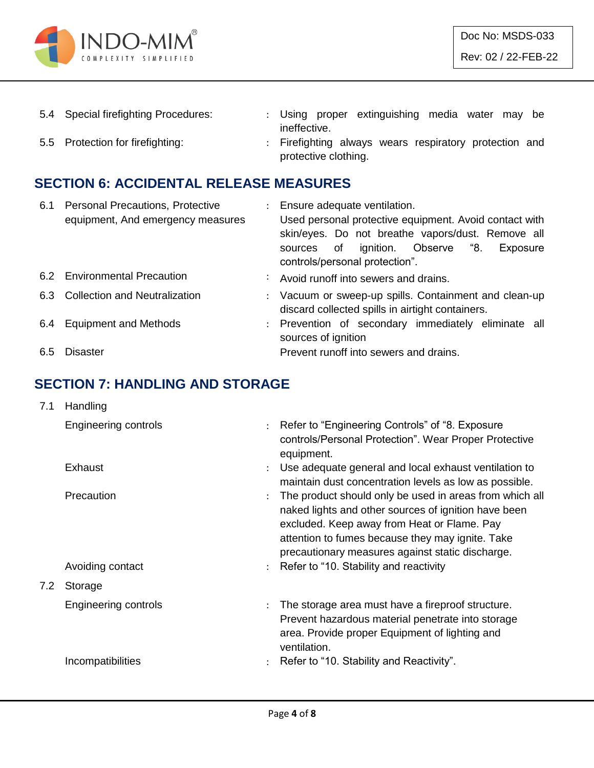

| 5.4 Special firefighting Procedures: |                      |  | : Using proper extinguishing media water may be        |  |  |  |
|--------------------------------------|----------------------|--|--------------------------------------------------------|--|--|--|
|                                      | ineffective.         |  |                                                        |  |  |  |
| 5.5 Protection for firefighting:     |                      |  | : Firefighting always wears respiratory protection and |  |  |  |
|                                      | protective clothing. |  |                                                        |  |  |  |

## **SECTION 6: ACCIDENTAL RELEASE MEASURES**

| 6.1 | <b>Personal Precautions, Protective</b> | $\mathcal{L}$ | Ensure adequate ventilation.                           |
|-----|-----------------------------------------|---------------|--------------------------------------------------------|
|     | equipment, And emergency measures       |               | Used personal protective equipment. Avoid contact with |
|     |                                         |               | skin/eyes. Do not breathe vapors/dust. Remove all      |
|     |                                         |               | ignition. Observe "8.<br>of<br>Exposure<br>sources     |
|     |                                         |               | controls/personal protection".                         |
|     | 6.2 Environmental Precaution            |               | Avoid runoff into sewers and drains.                   |
|     | 6.3 Collection and Neutralization       |               | : Vacuum or sweep-up spills. Containment and clean-up  |
|     |                                         |               | discard collected spills in airtight containers.       |
| 6.4 | <b>Equipment and Methods</b>            |               | : Prevention of secondary immediately eliminate all    |
|     |                                         |               | sources of ignition                                    |
| 6.5 | <b>Disaster</b>                         |               | Prevent runoff into sewers and drains.                 |

#### **SECTION 7: HANDLING AND STORAGE**

| 7.1 | Handling                       |                      |                                                                                                                                                                                                                                                                                                                    |
|-----|--------------------------------|----------------------|--------------------------------------------------------------------------------------------------------------------------------------------------------------------------------------------------------------------------------------------------------------------------------------------------------------------|
|     | Engineering controls           |                      | : Refer to "Engineering Controls" of "8. Exposure<br>controls/Personal Protection". Wear Proper Protective<br>equipment.                                                                                                                                                                                           |
|     | Exhaust                        | $\ddot{\phantom{a}}$ | Use adequate general and local exhaust ventilation to<br>maintain dust concentration levels as low as possible.                                                                                                                                                                                                    |
|     | Precaution<br>Avoiding contact |                      | The product should only be used in areas from which all<br>naked lights and other sources of ignition have been<br>excluded. Keep away from Heat or Flame. Pay<br>attention to fumes because they may ignite. Take<br>precautionary measures against static discharge.<br>: Refer to "10. Stability and reactivity |
| 7.2 | Storage                        |                      |                                                                                                                                                                                                                                                                                                                    |
|     | Engineering controls           | $\ddot{\phantom{a}}$ | The storage area must have a fireproof structure.<br>Prevent hazardous material penetrate into storage<br>area. Provide proper Equipment of lighting and<br>ventilation.                                                                                                                                           |
|     | Incompatibilities              |                      | Refer to "10. Stability and Reactivity".                                                                                                                                                                                                                                                                           |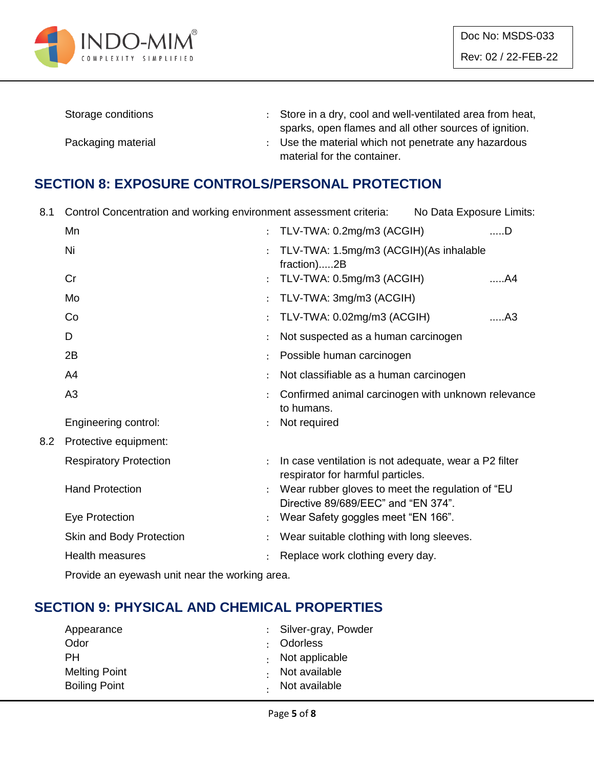

| Storage conditions | : Store in a dry, cool and well-ventilated area from heat, |
|--------------------|------------------------------------------------------------|
|                    | sparks, open flames and all other sources of ignition.     |
| Packaging material | Use the material which not penetrate any hazardous         |
|                    | material for the container.                                |

#### **SECTION 8: EXPOSURE CONTROLS/PERSONAL PROTECTION**

8.1 Control Concentration and working environment assessment criteria: No Data Exposure Limits:

|     | Mn                            | TLV-TWA: 0.2mg/m3 (ACGIH)                                                                  | $$ D |
|-----|-------------------------------|--------------------------------------------------------------------------------------------|------|
|     | Ni                            | TLV-TWA: 1.5mg/m3 (ACGIH)(As inhalable<br>fraction)2B                                      |      |
|     | Cr                            | TLV-TWA: 0.5mg/m3 (ACGIH)                                                                  | A4   |
|     | Mo                            | TLV-TWA: 3mg/m3 (ACGIH)                                                                    |      |
|     | Co                            | TLV-TWA: 0.02mg/m3 (ACGIH)                                                                 | A3   |
|     | D                             | Not suspected as a human carcinogen                                                        |      |
|     | 2B                            | Possible human carcinogen                                                                  |      |
|     | A4                            | Not classifiable as a human carcinogen                                                     |      |
|     | A <sub>3</sub>                | Confirmed animal carcinogen with unknown relevance<br>to humans.                           |      |
|     | Engineering control:          | Not required                                                                               |      |
| 8.2 | Protective equipment:         |                                                                                            |      |
|     | <b>Respiratory Protection</b> | In case ventilation is not adequate, wear a P2 filter<br>respirator for harmful particles. |      |
|     | <b>Hand Protection</b>        | Wear rubber gloves to meet the regulation of "EU<br>Directive 89/689/EEC" and "EN 374".    |      |
|     | Eye Protection                | Wear Safety goggles meet "EN 166".                                                         |      |
|     | Skin and Body Protection      | Wear suitable clothing with long sleeves.                                                  |      |
|     | <b>Health measures</b>        | Replace work clothing every day.                                                           |      |
|     |                               |                                                                                            |      |

Provide an eyewash unit near the working area.

#### **SECTION 9: PHYSICAL AND CHEMICAL PROPERTIES**

| : Silver-gray, Powder  |
|------------------------|
| : Odorless             |
| $\cdot$ Not applicable |
| Not available          |
| Not available          |
|                        |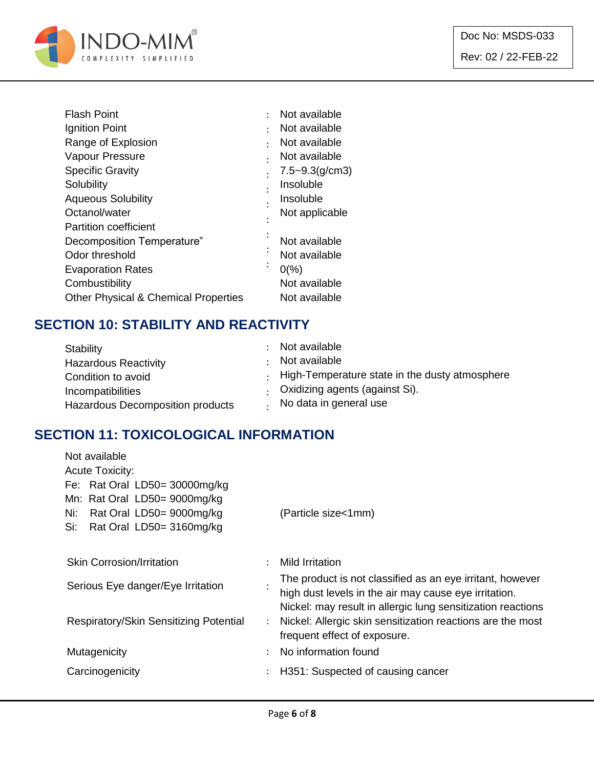

| <b>Flash Point</b>                              |         | Not available       |
|-------------------------------------------------|---------|---------------------|
| Ignition Point                                  |         | Not available       |
| Range of Explosion                              |         | Not available       |
| Vapour Pressure                                 |         | Not available       |
| <b>Specific Gravity</b>                         |         | $7.5 - 9.3$ (g/cm3) |
| Solubility                                      |         | Insoluble           |
| <b>Aqueous Solubility</b>                       |         | Insoluble           |
| Octanol/water                                   |         | Not applicable      |
| <b>Partition coefficient</b>                    |         |                     |
| Decomposition Temperature"                      |         | Not available       |
| Odor threshold                                  |         | Not available       |
| <b>Evaporation Rates</b>                        | $\cdot$ | $0\frac{9}{6}$      |
| Combustibility                                  |         | Not available       |
| <b>Other Physical &amp; Chemical Properties</b> |         | Not available       |

### **SECTION 10: STABILITY AND REACTIVITY**

| Stability                        | Not available                                        |
|----------------------------------|------------------------------------------------------|
| <b>Hazardous Reactivity</b>      | Not available                                        |
| Condition to avoid               | $\pm$ High-Temperature state in the dusty atmosphere |
| Incompatibilities                | Oxidizing agents (against Si).                       |
| Hazardous Decomposition products | No data in general use                               |

### **SECTION 11: TOXICOLOGICAL INFORMATION**

| Not available                          |                      |                                                             |
|----------------------------------------|----------------------|-------------------------------------------------------------|
| <b>Acute Toxicity:</b>                 |                      |                                                             |
| Fe: Rat Oral LD50= 30000mg/kg          |                      |                                                             |
| Mn: Rat Oral LD50= 9000mg/kg           |                      |                                                             |
| Rat Oral LD50= 9000mg/kg<br>Ni:        |                      | (Particle size<1mm)                                         |
| Rat Oral LD50= 3160mg/kg<br>Si:        |                      |                                                             |
|                                        |                      |                                                             |
| <b>Skin Corrosion/Irritation</b>       | ÷                    | Mild Irritation                                             |
|                                        |                      | The product is not classified as an eye irritant, however   |
| Serious Eye danger/Eye Irritation      |                      | high dust levels in the air may cause eye irritation.       |
|                                        |                      | Nickel: may result in allergic lung sensitization reactions |
| Respiratory/Skin Sensitizing Potential | $\ddot{\phantom{a}}$ | Nickel: Allergic skin sensitization reactions are the most  |
|                                        |                      | frequent effect of exposure.                                |
| Mutagenicity                           | ÷                    | No information found                                        |
|                                        |                      |                                                             |
| Carcinogenicity                        | $\ddot{\phantom{a}}$ | H351: Suspected of causing cancer                           |
|                                        |                      |                                                             |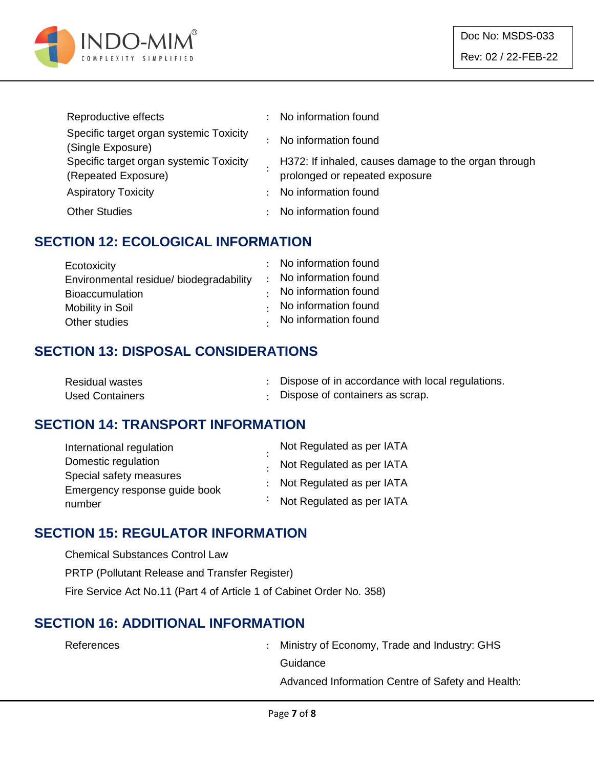

| Reproductive effects                                           | $\ddot{\phantom{0}}$ | No information found                                                                   |
|----------------------------------------------------------------|----------------------|----------------------------------------------------------------------------------------|
| Specific target organ systemic Toxicity<br>(Single Exposure)   |                      | No information found                                                                   |
| Specific target organ systemic Toxicity<br>(Repeated Exposure) |                      | H372: If inhaled, causes damage to the organ through<br>prolonged or repeated exposure |
| <b>Aspiratory Toxicity</b>                                     | $\mathcal{L}$        | No information found                                                                   |
| <b>Other Studies</b>                                           |                      | No information found                                                                   |

#### **SECTION 12: ECOLOGICAL INFORMATION**

| Ecotoxicity                             | : No information found       |
|-----------------------------------------|------------------------------|
| Environmental residue/ biodegradability | : No information found       |
| <b>Bioaccumulation</b>                  | $\cdot$ No information found |
| Mobility in Soil                        | No information found         |
| Other studies                           | . No information found       |

#### **SECTION 13: DISPOSAL CONSIDERATIONS**

| <b>Residual wastes</b> | Dispose of in accordance with local regulations. |
|------------------------|--------------------------------------------------|
| <b>Used Containers</b> | Dispose of containers as scrap.                  |

#### **SECTION 14: TRANSPORT INFORMATION**

| International regulation      | Not Regulated as per IATA   |
|-------------------------------|-----------------------------|
| Domestic regulation           | . Not Regulated as per IATA |
| Special safety measures       | : Not Regulated as per IATA |
| Emergency response guide book |                             |
| number                        | : Not Regulated as per IATA |

#### **SECTION 15: REGULATOR INFORMATION**

Chemical Substances Control Law PRTP (Pollutant Release and Transfer Register) Fire Service Act No.11 (Part 4 of Article 1 of Cabinet Order No. 358)

#### **SECTION 16: ADDITIONAL INFORMATION**

References : Ministry of Economy, Trade and Industry: GHS **Guidance** 

Advanced Information Centre of Safety and Health: